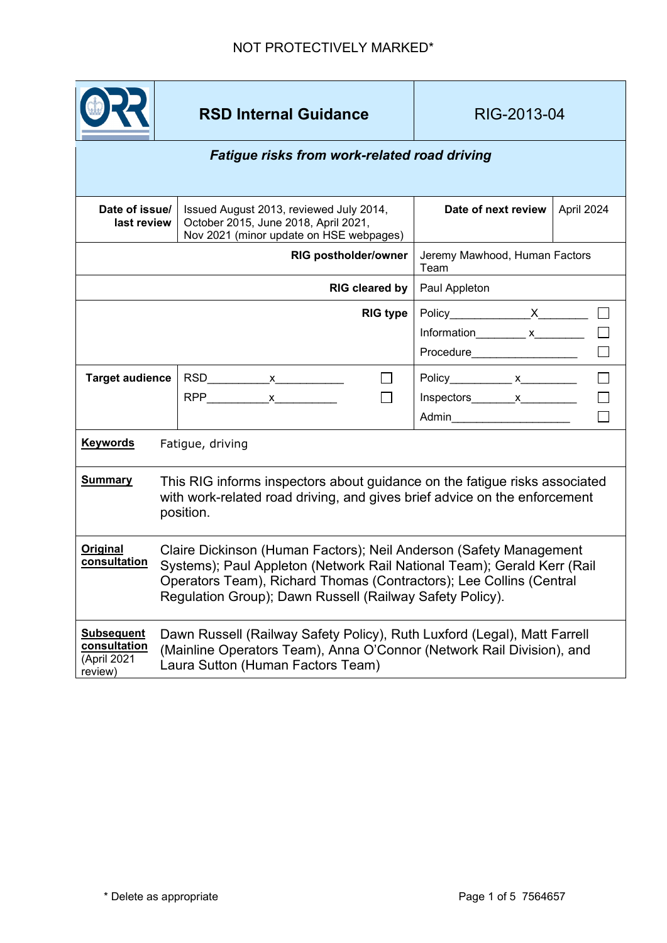

**RSD Internal Guidance RIG-2013-04** 

## *Fatigue risks from work-related road driving*

| Date of issue/<br>last review                               |                                                                                                                                                                                                                                                                                  |  | Issued August 2013, reviewed July 2014,<br>October 2015, June 2018, April 2021,<br>Nov 2021 (minor update on HSE webpages) |                | Date of next review                   | April 2024 |
|-------------------------------------------------------------|----------------------------------------------------------------------------------------------------------------------------------------------------------------------------------------------------------------------------------------------------------------------------------|--|----------------------------------------------------------------------------------------------------------------------------|----------------|---------------------------------------|------------|
| <b>RIG postholder/owner</b>                                 |                                                                                                                                                                                                                                                                                  |  |                                                                                                                            |                | Jeremy Mawhood, Human Factors<br>Team |            |
| RIG cleared by                                              |                                                                                                                                                                                                                                                                                  |  |                                                                                                                            |                | Paul Appleton                         |            |
|                                                             |                                                                                                                                                                                                                                                                                  |  |                                                                                                                            | $RIG$ type $ $ | Procedure____________________         |            |
| <b>Target audience</b>                                      |                                                                                                                                                                                                                                                                                  |  |                                                                                                                            |                | Policy____________ x__________        |            |
|                                                             |                                                                                                                                                                                                                                                                                  |  |                                                                                                                            |                | Admin_________________________        |            |
| <b>Keywords</b>                                             | Fatigue, driving                                                                                                                                                                                                                                                                 |  |                                                                                                                            |                |                                       |            |
| <b>Summary</b>                                              | This RIG informs inspectors about guidance on the fatigue risks associated<br>with work-related road driving, and gives brief advice on the enforcement<br>position.                                                                                                             |  |                                                                                                                            |                |                                       |            |
| Original<br>consultation                                    | Claire Dickinson (Human Factors); Neil Anderson (Safety Management<br>Systems); Paul Appleton (Network Rail National Team); Gerald Kerr (Rail<br>Operators Team), Richard Thomas (Contractors); Lee Collins (Central<br>Regulation Group); Dawn Russell (Railway Safety Policy). |  |                                                                                                                            |                |                                       |            |
| <b>Subsequent</b><br>consultation<br>(April 2021<br>review) | Dawn Russell (Railway Safety Policy), Ruth Luxford (Legal), Matt Farrell<br>(Mainline Operators Team), Anna O'Connor (Network Rail Division), and<br>Laura Sutton (Human Factors Team)                                                                                           |  |                                                                                                                            |                |                                       |            |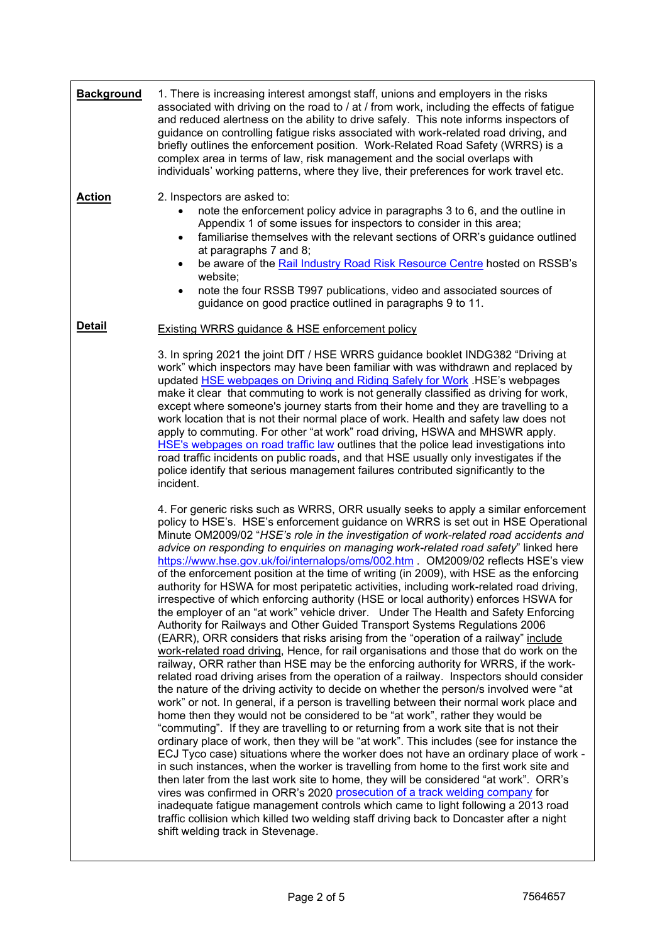| <b>Background</b> | 1. There is increasing interest amongst staff, unions and employers in the risks<br>associated with driving on the road to / at / from work, including the effects of fatigue<br>and reduced alertness on the ability to drive safely. This note informs inspectors of<br>guidance on controlling fatigue risks associated with work-related road driving, and<br>briefly outlines the enforcement position. Work-Related Road Safety (WRRS) is a<br>complex area in terms of law, risk management and the social overlaps with<br>individuals' working patterns, where they live, their preferences for work travel etc.                                                                                                                                                                                                                                                                                                                                                                                                                                                                                                                                                                                                                                                                                                                                                                                                                                                                                                                                                                                                                                                                                                                                                                                                                                                                                                                                                                                                                                                                                                                                                                                                                                                                                  |
|-------------------|------------------------------------------------------------------------------------------------------------------------------------------------------------------------------------------------------------------------------------------------------------------------------------------------------------------------------------------------------------------------------------------------------------------------------------------------------------------------------------------------------------------------------------------------------------------------------------------------------------------------------------------------------------------------------------------------------------------------------------------------------------------------------------------------------------------------------------------------------------------------------------------------------------------------------------------------------------------------------------------------------------------------------------------------------------------------------------------------------------------------------------------------------------------------------------------------------------------------------------------------------------------------------------------------------------------------------------------------------------------------------------------------------------------------------------------------------------------------------------------------------------------------------------------------------------------------------------------------------------------------------------------------------------------------------------------------------------------------------------------------------------------------------------------------------------------------------------------------------------------------------------------------------------------------------------------------------------------------------------------------------------------------------------------------------------------------------------------------------------------------------------------------------------------------------------------------------------------------------------------------------------------------------------------------------------|
| <b>Action</b>     | 2. Inspectors are asked to:<br>note the enforcement policy advice in paragraphs 3 to 6, and the outline in<br>Appendix 1 of some issues for inspectors to consider in this area;<br>familiarise themselves with the relevant sections of ORR's guidance outlined<br>$\bullet$<br>at paragraphs 7 and 8;<br>be aware of the Rail Industry Road Risk Resource Centre hosted on RSSB's<br>$\bullet$<br>website;<br>note the four RSSB T997 publications, video and associated sources of<br>$\bullet$<br>guidance on good practice outlined in paragraphs 9 to 11.                                                                                                                                                                                                                                                                                                                                                                                                                                                                                                                                                                                                                                                                                                                                                                                                                                                                                                                                                                                                                                                                                                                                                                                                                                                                                                                                                                                                                                                                                                                                                                                                                                                                                                                                            |
| <b>Detail</b>     | <b>Existing WRRS guidance &amp; HSE enforcement policy</b>                                                                                                                                                                                                                                                                                                                                                                                                                                                                                                                                                                                                                                                                                                                                                                                                                                                                                                                                                                                                                                                                                                                                                                                                                                                                                                                                                                                                                                                                                                                                                                                                                                                                                                                                                                                                                                                                                                                                                                                                                                                                                                                                                                                                                                                 |
|                   | 3. In spring 2021 the joint DfT / HSE WRRS guidance booklet INDG382 "Driving at<br>work" which inspectors may have been familiar with was withdrawn and replaced by<br>updated <b>HSE</b> webpages on Driving and Riding Safely for Work . HSE's webpages<br>make it clear that commuting to work is not generally classified as driving for work,<br>except where someone's journey starts from their home and they are travelling to a<br>work location that is not their normal place of work. Health and safety law does not<br>apply to commuting. For other "at work" road driving, HSWA and MHSWR apply.<br>HSE's webpages on road traffic law outlines that the police lead investigations into<br>road traffic incidents on public roads, and that HSE usually only investigates if the<br>police identify that serious management failures contributed significantly to the<br>incident.                                                                                                                                                                                                                                                                                                                                                                                                                                                                                                                                                                                                                                                                                                                                                                                                                                                                                                                                                                                                                                                                                                                                                                                                                                                                                                                                                                                                         |
|                   | 4. For generic risks such as WRRS, ORR usually seeks to apply a similar enforcement<br>policy to HSE's. HSE's enforcement guidance on WRRS is set out in HSE Operational<br>Minute OM2009/02 "HSE's role in the investigation of work-related road accidents and<br>advice on responding to enquiries on managing work-related road safety" linked here<br>https://www.hse.gov.uk/foi/internalops/oms/002.htm . OM2009/02 reflects HSE's view<br>of the enforcement position at the time of writing (in 2009), with HSE as the enforcing<br>authority for HSWA for most peripatetic activities, including work-related road driving,<br>irrespective of which enforcing authority (HSE or local authority) enforces HSWA for<br>the employer of an "at work" vehicle driver. Under The Health and Safety Enforcing<br>Authority for Railways and Other Guided Transport Systems Regulations 2006<br>(EARR), ORR considers that risks arising from the "operation of a railway" include<br>work-related road driving, Hence, for rail organisations and those that do work on the<br>railway, ORR rather than HSE may be the enforcing authority for WRRS, if the work-<br>related road driving arises from the operation of a railway. Inspectors should consider<br>the nature of the driving activity to decide on whether the person/s involved were "at<br>work" or not. In general, if a person is travelling between their normal work place and<br>home then they would not be considered to be "at work", rather they would be<br>"commuting". If they are travelling to or returning from a work site that is not their<br>ordinary place of work, then they will be "at work". This includes (see for instance the<br>ECJ Tyco case) situations where the worker does not have an ordinary place of work -<br>in such instances, when the worker is travelling from home to the first work site and<br>then later from the last work site to home, they will be considered "at work". ORR's<br>vires was confirmed in ORR's 2020 prosecution of a track welding company for<br>inadequate fatigue management controls which came to light following a 2013 road<br>traffic collision which killed two welding staff driving back to Doncaster after a night<br>shift welding track in Stevenage. |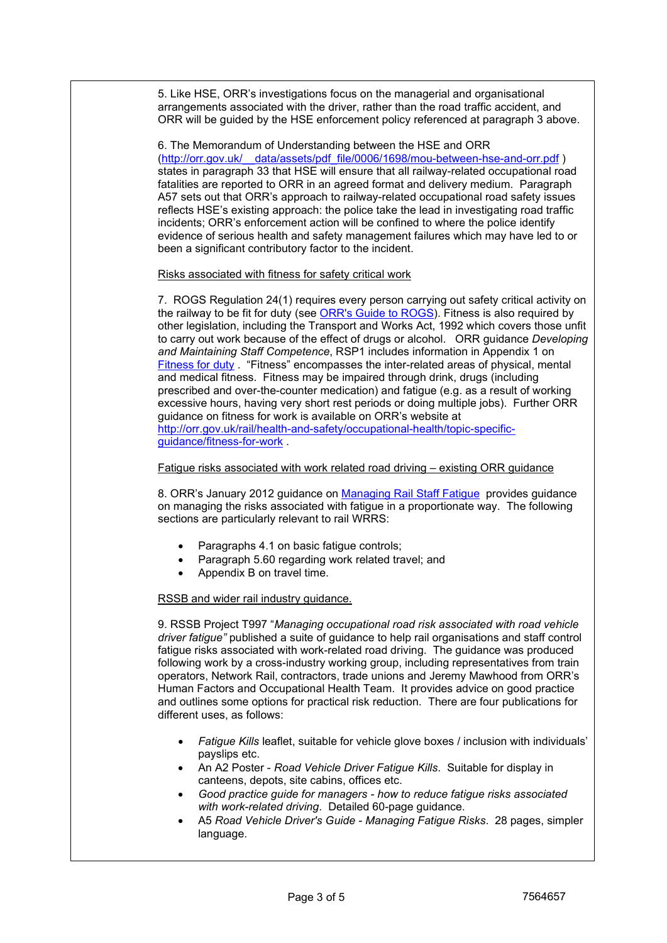5. Like HSE, ORR's investigations focus on the managerial and organisational arrangements associated with the driver, rather than the road traffic accident, and ORR will be guided by the HSE enforcement policy referenced at paragraph 3 above.

6. The Memorandum of Understanding between the HSE and ORR [\(http://orr.gov.uk/\\_\\_data/assets/pdf\\_file/0006/1698/mou-between-hse-and-orr.pdf](http://orr.gov.uk/__data/assets/pdf_file/0006/1698/mou-between-hse-and-orr.pdf) ) states in paragraph 33 that HSE will ensure that all railway-related occupational road fatalities are reported to ORR in an agreed format and delivery medium. Paragraph A57 sets out that ORR's approach to railway-related occupational road safety issues reflects HSE's existing approach: the police take the lead in investigating road traffic incidents; ORR's enforcement action will be confined to where the police identify evidence of serious health and safety management failures which may have led to or been a significant contributory factor to the incident.

Risks associated with fitness for safety critical work

7. ROGS Regulation 24(1) requires every person carrying out safety critical activity on the railway to be fit for duty (see [ORR's Guide to ROGS\)](https://www.orr.gov.uk/sites/default/files/2021-10/rogs-guidance.pdf). Fitness is also required by other legislation, including the Transport and Works Act, 1992 which covers those unfit to carry out work because of the effect of drugs or alcohol. ORR guidance *Developing and Maintaining Staff Competence*, RSP1 includes information in Appendix 1 on [Fitness for duty](http://orr.gov.uk/__data/assets/pdf_file/0016/4264/sf-dev-staff.pdf) . "Fitness" encompasses the inter-related areas of physical, mental and medical fitness. Fitness may be impaired through drink, drugs (including prescribed and over-the-counter medication) and fatigue (e.g. as a result of working excessive hours, having very short rest periods or doing multiple jobs). Further ORR guidance on fitness for work is available on ORR's website at [http://orr.gov.uk/rail/health-and-safety/occupational-health/topic-specific](http://orr.gov.uk/rail/health-and-safety/occupational-health/topic-specific-guidance/fitness-for-work)[guidance/fitness-for-work](http://orr.gov.uk/rail/health-and-safety/occupational-health/topic-specific-guidance/fitness-for-work) .

Fatigue risks associated with work related road driving – existing ORR guidance

8. ORR's January 2012 guidance on [Managing Rail Staff Fatigue](https://www.orr.gov.uk/media/10934/download) provides guidance on managing the risks associated with fatigue in a proportionate way. The following sections are particularly relevant to rail WRRS:

- Paragraphs 4.1 on basic fatigue controls;
- Paragraph 5.60 regarding work related travel; and
- Appendix B on travel time.

## RSSB and wider rail industry guidance.

9. RSSB Project T997 "*Managing occupational road risk associated with road vehicle driver fatigue"* published a suite of guidance to help rail organisations and staff control fatigue risks associated with work-related road driving. The guidance was produced following work by a cross-industry working group, including representatives from train operators, Network Rail, contractors, trade unions and Jeremy Mawhood from ORR's Human Factors and Occupational Health Team. It provides advice on good practice and outlines some options for practical risk reduction. There are four publications for different uses, as follows:

- *Fatigue Kills* leaflet, suitable for vehicle glove boxes / inclusion with individuals' payslips etc.
- An A2 Poster *Road Vehicle Driver Fatigue Kills*. Suitable for display in canteens, depots, site cabins, offices etc.
- *Good practice guide for managers - how to reduce fatigue risks associated with work-related driving*. Detailed 60-page guidance.
- A5 *Road Vehicle Driver's Guide - Managing Fatigue Risks*. 28 pages, simpler language.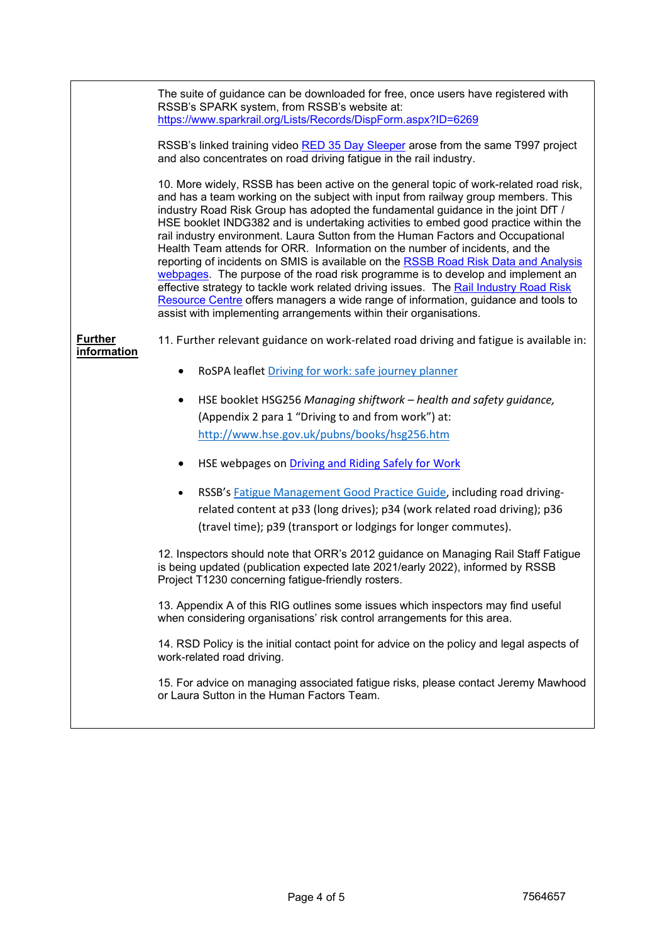The suite of guidance can be downloaded for free, once users have registered with RSSB's SPARK system, from RSSB's website at: <https://www.sparkrail.org/Lists/Records/DispForm.aspx?ID=6269>

RSSB's linked training video [RED 35 Day Sleeper](https://www.rssb.co.uk/safety-and-health/learning-from-experience/red-programmes/red-35-day-sleeper) arose from the same T997 project and also concentrates on road driving fatigue in the rail industry.

10. More widely, RSSB has been active on the general topic of work-related road risk, and has a team working on the subject with input from railway group members. This industry Road Risk Group has adopted the fundamental guidance in the joint DfT / HSE booklet INDG382 and is undertaking activities to embed good practice within the rail industry environment. Laura Sutton from the Human Factors and Occupational Health Team attends for ORR. Information on the number of incidents, and the reporting of incidents on SMIS is available on the [RSSB Road Risk Data and Analysis](https://www.rssb.co.uk/safety-and-health/improving-safety-health-and-wellbeing/rail-industry-road-risk-resource-centre/road-risk-data-and-analysis)  [webpages.](https://www.rssb.co.uk/safety-and-health/improving-safety-health-and-wellbeing/rail-industry-road-risk-resource-centre/road-risk-data-and-analysis) The purpose of the road risk programme is to develop and implement an effective strategy to tackle work related driving issues. The [Rail Industry Road Risk](https://www.rssb.co.uk/safety-and-health/improving-safety-health-and-wellbeing/rail-industry-road-risk-resource-centre/road-risk-data-and-analysis) [Resource Centre](https://www.rssb.co.uk/safety-and-health/improving-safety-health-and-wellbeing/rail-industry-road-risk-resource-centre/road-risk-data-and-analysis) offers managers a wide range of information, guidance and tools to assist with implementing arrangements within their organisations.

**Further information** 11. Further relevant guidance on work-related road driving and fatigue is available in:

- RoSPA leaflet [Driving for work: safe journey planner](https://www.rospa.com/rospaweb/docs/advice-services/road-safety/drivers/work-safe-journey.pdf)
- HSE booklet HSG256 *Managing shiftwork – health and safety guidance,*  (Appendix 2 para 1 "Driving to and from work") at: <http://www.hse.gov.uk/pubns/books/hsg256.htm>
- HSE webpages o[n Driving and Riding Safely for Work](https://www.hse.gov.uk/roadsafety/)
- RSSB'[s Fatigue Management Good Practice Guide,](https://www.rssb.co.uk/en/standards-catalogue/CatalogueItem/RS504-Iss-1) including road drivingrelated content at p33 (long drives); p34 (work related road driving); p36 (travel time); p39 (transport or lodgings for longer commutes).

12. Inspectors should note that ORR's 2012 guidance on Managing Rail Staff Fatigue is being updated (publication expected late 2021/early 2022), informed by RSSB Project T1230 concerning fatigue-friendly rosters.

13. Appendix A of this RIG outlines some issues which inspectors may find useful when considering organisations' risk control arrangements for this area.

14. RSD Policy is the initial contact point for advice on the policy and legal aspects of work-related road driving.

15. For advice on managing associated fatigue risks, please contact Jeremy Mawhood or Laura Sutton in the Human Factors Team.